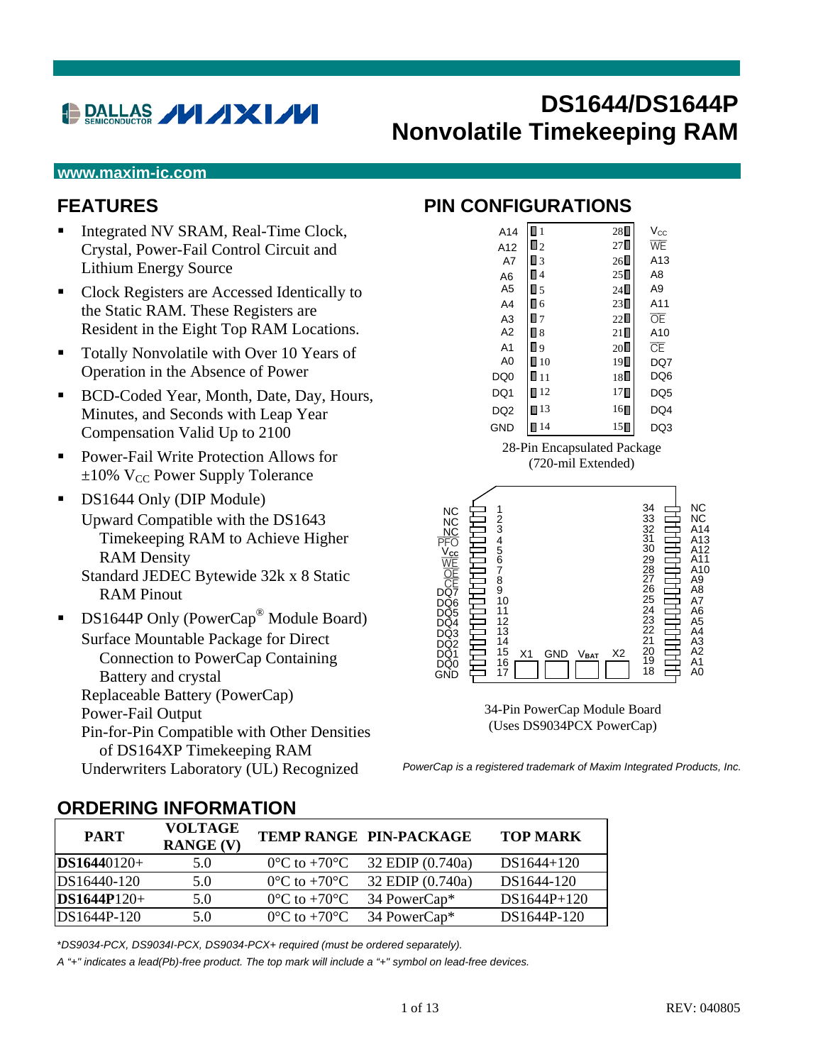# **DALLAS VI AXI /V**

# **DS1644/DS1644P Nonvolatile Timekeeping RAM**

#### **www.maxim-ic.com**

#### **FEATURES**

- Integrated NV SRAM, Real-Time Clock, Crystal, Power-Fail Control Circuit and Lithium Energy Source
- Clock Registers are Accessed Identically to the Static RAM. These Registers are Resident in the Eight Top RAM Locations.
- Totally Nonvolatile with Over 10 Years of Operation in the Absence of Power
- BCD-Coded Year, Month, Date, Day, Hours, Minutes, and Seconds with Leap Year Compensation Valid Up to 2100
- Power-Fail Write Protection Allows for  $\pm 10\%$  V<sub>CC</sub> Power Supply Tolerance
- **DS1644 Only (DIP Module)** Upward Compatible with the DS1643 Timekeeping RAM to Achieve Higher RAM Density Standard JEDEC Bytewide 32k x 8 Static RAM Pinout
- $\blacksquare$  DS1644P Only (PowerCap<sup>®</sup> Module Board) Surface Mountable Package for Direct Connection to PowerCap Containing Battery and crystal Replaceable Battery (PowerCap) Power-Fail Output Pin-for-Pin Compatible with Other Densities of DS164XP Timekeeping RAM Underwriters Laboratory (UL) Recognized

#### **PIN CONFIGURATIONS**

| A14             | $\blacksquare$    | $28\square$      | $V_{\rm CC}$           |
|-----------------|-------------------|------------------|------------------------|
| A12             | $\Box$ 2          | 27               | WE                     |
| A7              | Π3                | $26\square$      | A13                    |
| A <sub>6</sub>  | Π4                | $25\square$      | A8                     |
| A <sub>5</sub>  | $\square$ 5       | $24\square$      | A9                     |
| A <sub>4</sub>  | Π6                | 23∎              | A11                    |
| A <sub>3</sub>  | $\blacksquare$ 7  | 22∐              | ŌF                     |
| A <sub>2</sub>  | П8                | $21\square$      | A10                    |
| A <sub>1</sub>  | ۵ [               | $20\square$      | $\overline{\text{CE}}$ |
| A <sub>0</sub>  | $\blacksquare$ 10 | $19\square$      | DQ7                    |
| DQ <sub>0</sub> | $\blacksquare$ 11 | 18∎              | DQ6                    |
| DQ1             | $\blacksquare$ 12 | $17\blacksquare$ | DQ <sub>5</sub>        |
| DQ <sub>2</sub> | $\blacksquare$ 13 | $16\blacksquare$ | DQ4                    |
| <b>GND</b>      | 14                | 15               | DO3                    |
|                 |                   |                  |                        |

28-Pin Encapsulated Package (720-mil Extended)



34-Pin PowerCap Module Board (Uses DS9034PCX PowerCap)

*PowerCap is a registered trademark of Maxim Integrated Products, Inc.* 

| <b>PART</b>   | <b>VOLTAGE</b><br><b>RANGE (V)</b> |                                   | TEMP RANGE PIN-PACKAGE   | <b>TOP MARK</b> |
|---------------|------------------------------------|-----------------------------------|--------------------------|-----------------|
| $DS16440120+$ | 5.0                                | $0^{\circ}$ C to +70 $^{\circ}$ C | 32 EDIP (0.740a)         | $DS1644+120$    |
| DS16440-120   | 5.0                                | $0^{\circ}$ C to +70 $^{\circ}$ C | 32 EDIP (0.740a)         | DS1644-120      |
| $DS1644P120+$ | 5.0                                | $0^{\circ}$ C to $+70^{\circ}$ C  | 34 PowerCap*             | $DS1644P+120$   |
| $DS1644P-120$ | 5.0                                | $0^{\circ}$ C to $+70^{\circ}$ C  | 34 PowerCap <sup>*</sup> | DS1644P-120     |

#### **ORDERING INFORMATION**

\**DS9034-PCX, DS9034I-PCX, DS9034-PCX+ required (must be ordered separately).*

*A "+" indicates a lead(Pb)-free product. The top mark will include a "+" symbol on lead-free devices.*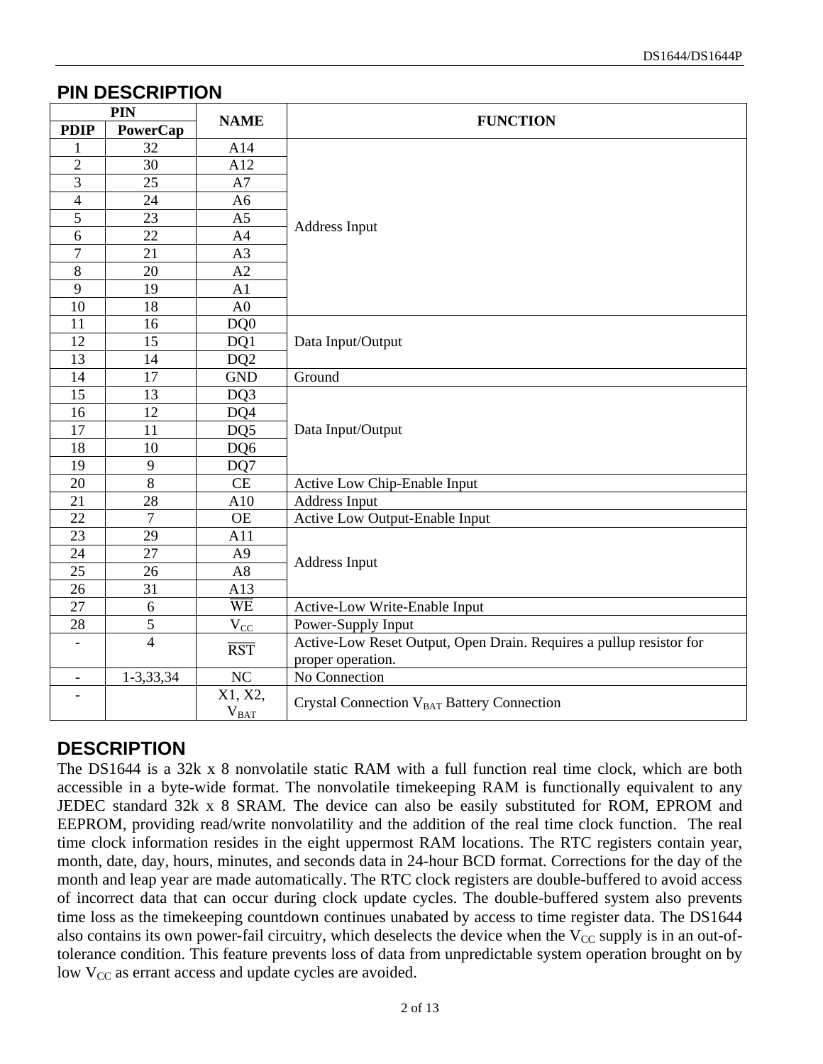#### **PIN DESCRIPTION**

| PIN                      |                | <b>NAME</b>             | <b>FUNCTION</b>                                                     |  |  |  |  |
|--------------------------|----------------|-------------------------|---------------------------------------------------------------------|--|--|--|--|
| <b>PDIP</b>              | PowerCap       |                         |                                                                     |  |  |  |  |
| $\mathbf{1}$             | 32             | A14                     |                                                                     |  |  |  |  |
| $\overline{c}$           | 30             | A12                     |                                                                     |  |  |  |  |
| $\overline{3}$           | 25             | A7                      |                                                                     |  |  |  |  |
| $\overline{4}$           | 24             | A <sub>6</sub>          |                                                                     |  |  |  |  |
| $\overline{5}$           | 23             | A <sub>5</sub>          | <b>Address Input</b>                                                |  |  |  |  |
| 6                        | 22             | A4                      |                                                                     |  |  |  |  |
| $\overline{7}$           | 21             | A3                      |                                                                     |  |  |  |  |
| $\,8\,$                  | 20             | A2                      |                                                                     |  |  |  |  |
| $\overline{9}$           | 19             | A1                      |                                                                     |  |  |  |  |
| 10                       | 18             | A <sub>0</sub>          |                                                                     |  |  |  |  |
| 11                       | 16             | DQ0                     |                                                                     |  |  |  |  |
| 12                       | 15             | DQ1                     | Data Input/Output                                                   |  |  |  |  |
| 13                       | 14             | DQ <sub>2</sub>         |                                                                     |  |  |  |  |
| 14                       | 17             | <b>GND</b>              | Ground                                                              |  |  |  |  |
| 15                       | 13             | DQ3                     |                                                                     |  |  |  |  |
| 16                       | 12             | DQ4                     |                                                                     |  |  |  |  |
| 17                       | 11             | DQ5                     | Data Input/Output                                                   |  |  |  |  |
| 18                       | 10             | DQ6                     |                                                                     |  |  |  |  |
| 19                       | 9              | DQ7                     |                                                                     |  |  |  |  |
| 20                       | $\overline{8}$ | CE                      | Active Low Chip-Enable Input                                        |  |  |  |  |
| 21                       | 28             | A10                     | <b>Address Input</b>                                                |  |  |  |  |
| 22                       | $\overline{7}$ | <b>OE</b>               | Active Low Output-Enable Input                                      |  |  |  |  |
| 23                       | 29             | A11                     |                                                                     |  |  |  |  |
| 24                       | 27             | A <sub>9</sub>          |                                                                     |  |  |  |  |
| 25                       | 26             | A8                      | Address Input                                                       |  |  |  |  |
| 26                       | 31             | A13                     |                                                                     |  |  |  |  |
| $\overline{27}$          | 6              | $\overline{\text{WE}}$  | Active-Low Write-Enable Input                                       |  |  |  |  |
| 28                       | 5              | $V_{\underline{CC}}$    | Power-Supply Input                                                  |  |  |  |  |
| $\overline{\phantom{0}}$ | $\overline{4}$ | $\overline{\text{RST}}$ | Active-Low Reset Output, Open Drain. Requires a pullup resistor for |  |  |  |  |
|                          |                |                         | proper operation.                                                   |  |  |  |  |
| $\overline{\phantom{a}}$ | 1-3,33,34      | $\rm NC$                | No Connection                                                       |  |  |  |  |
|                          |                | X1, X2,                 | Crystal Connection V <sub>BAT</sub> Battery Connection              |  |  |  |  |
|                          |                | $V_{\text{BAT}}$        |                                                                     |  |  |  |  |

# **DESCRIPTION**

The DS1644 is a 32k x 8 nonvolatile static RAM with a full function real time clock, which are both accessible in a byte-wide format. The nonvolatile timekeeping RAM is functionally equivalent to any JEDEC standard 32k x 8 SRAM. The device can also be easily substituted for ROM, EPROM and EEPROM, providing read/write nonvolatility and the addition of the real time clock function. The real time clock information resides in the eight uppermost RAM locations. The RTC registers contain year, month, date, day, hours, minutes, and seconds data in 24-hour BCD format. Corrections for the day of the month and leap year are made automatically. The RTC clock registers are double-buffered to avoid access of incorrect data that can occur during clock update cycles. The double-buffered system also prevents time loss as the timekeeping countdown continues unabated by access to time register data. The DS1644 also contains its own power-fail circuitry, which deselects the device when the  $V_{CC}$  supply is in an out-oftolerance condition. This feature prevents loss of data from unpredictable system operation brought on by low  $V_{CC}$  as errant access and update cycles are avoided.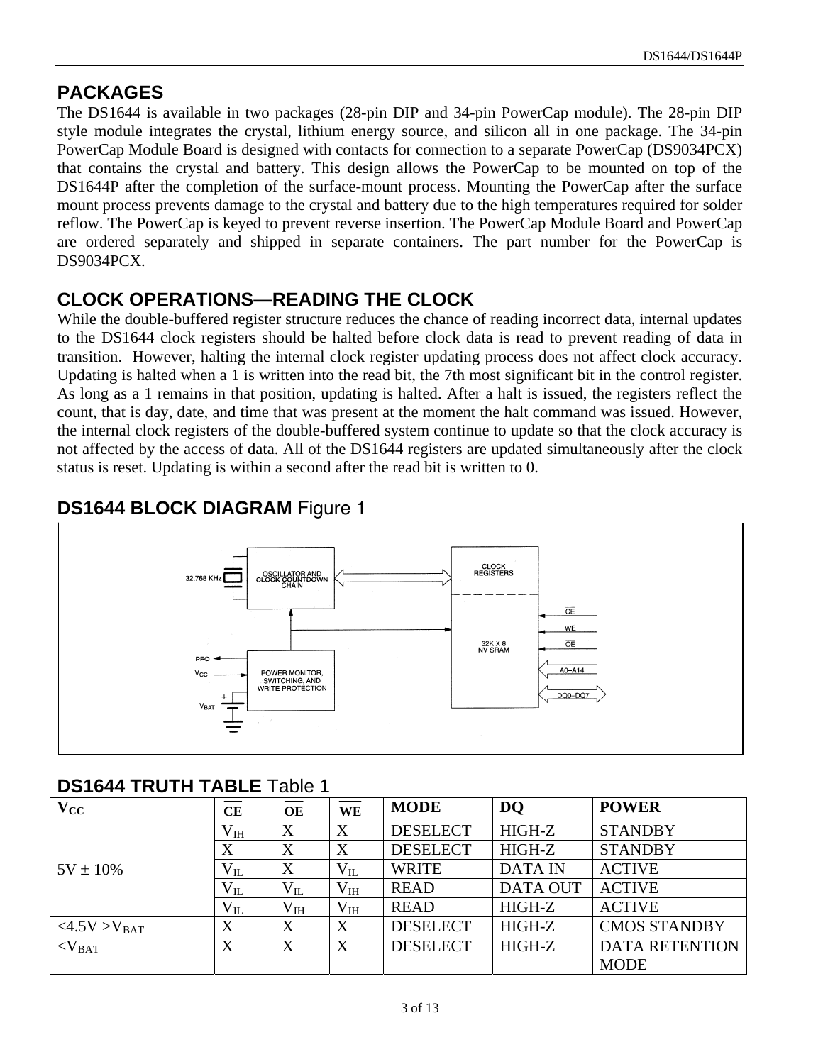### **PACKAGES**

The DS1644 is available in two packages (28-pin DIP and 34-pin PowerCap module). The 28-pin DIP style module integrates the crystal, lithium energy source, and silicon all in one package. The 34-pin PowerCap Module Board is designed with contacts for connection to a separate PowerCap (DS9034PCX) that contains the crystal and battery. This design allows the PowerCap to be mounted on top of the DS1644P after the completion of the surface-mount process. Mounting the PowerCap after the surface mount process prevents damage to the crystal and battery due to the high temperatures required for solder reflow. The PowerCap is keyed to prevent reverse insertion. The PowerCap Module Board and PowerCap are ordered separately and shipped in separate containers. The part number for the PowerCap is DS9034PCX.

# **CLOCK OPERATIONS—READING THE CLOCK**

While the double-buffered register structure reduces the chance of reading incorrect data, internal updates to the DS1644 clock registers should be halted before clock data is read to prevent reading of data in transition. However, halting the internal clock register updating process does not affect clock accuracy. Updating is halted when a 1 is written into the read bit, the 7th most significant bit in the control register. As long as a 1 remains in that position, updating is halted. After a halt is issued, the registers reflect the count, that is day, date, and time that was present at the moment the halt command was issued. However, the internal clock registers of the double-buffered system continue to update so that the clock accuracy is not affected by the access of data. All of the DS1644 registers are updated simultaneously after the clock status is reset. Updating is within a second after the read bit is written to 0.

#### CLOCK<br>REGISTERS OSCILLATOR AND<br>CLOCK COUNTDOWN<br>CHAIN  $\overline{CE}$ WE  $\overline{OF}$ 32K X 8<br>NV SRAM  $\overline{PFO}$  $A0 - A14$ POWER MONITOR SWITCHING, AND DQ0-DQ7

# **DS1644 BLOCK DIAGRAM** Figure 1

#### **DS1644 TRUTH TABLE** Table 1

| $\mathbf{V}_{\mathrm{CC}}$ | CЕ           | OE           | WE              | <b>MODE</b>     | <b>DQ</b>       | <b>POWER</b>          |
|----------------------------|--------------|--------------|-----------------|-----------------|-----------------|-----------------------|
|                            | $\rm V_{IH}$ | X            | X               | <b>DESELECT</b> | HIGH-Z          | <b>STANDBY</b>        |
|                            | X            | X            | X               | <b>DESELECT</b> | HIGH-Z          | <b>STANDBY</b>        |
| $5V \pm 10\%$              | $\rm V_{II}$ | X            | $\rm V_{II}$    | <b>WRITE</b>    | <b>DATA IN</b>  | <b>ACTIVE</b>         |
|                            | $V_{IL}$     | $V_{IL}$     | V <sub>IH</sub> | <b>READ</b>     | <b>DATA OUT</b> | <b>ACTIVE</b>         |
|                            | $\rm V_{II}$ | $\rm V_{IH}$ | V <sub>IH</sub> | <b>READ</b>     | HIGH-Z          | <b>ACTIVE</b>         |
| <4.5V>V <sub>BAT</sub>     | X            | X            | X               | <b>DESELECT</b> | HIGH-Z          | <b>CMOS STANDBY</b>   |
| $<$ V <sub>BAT</sub>       | X            | X            | X               | <b>DESELECT</b> | HIGH-Z          | <b>DATA RETENTION</b> |
|                            |              |              |                 |                 |                 | <b>MODE</b>           |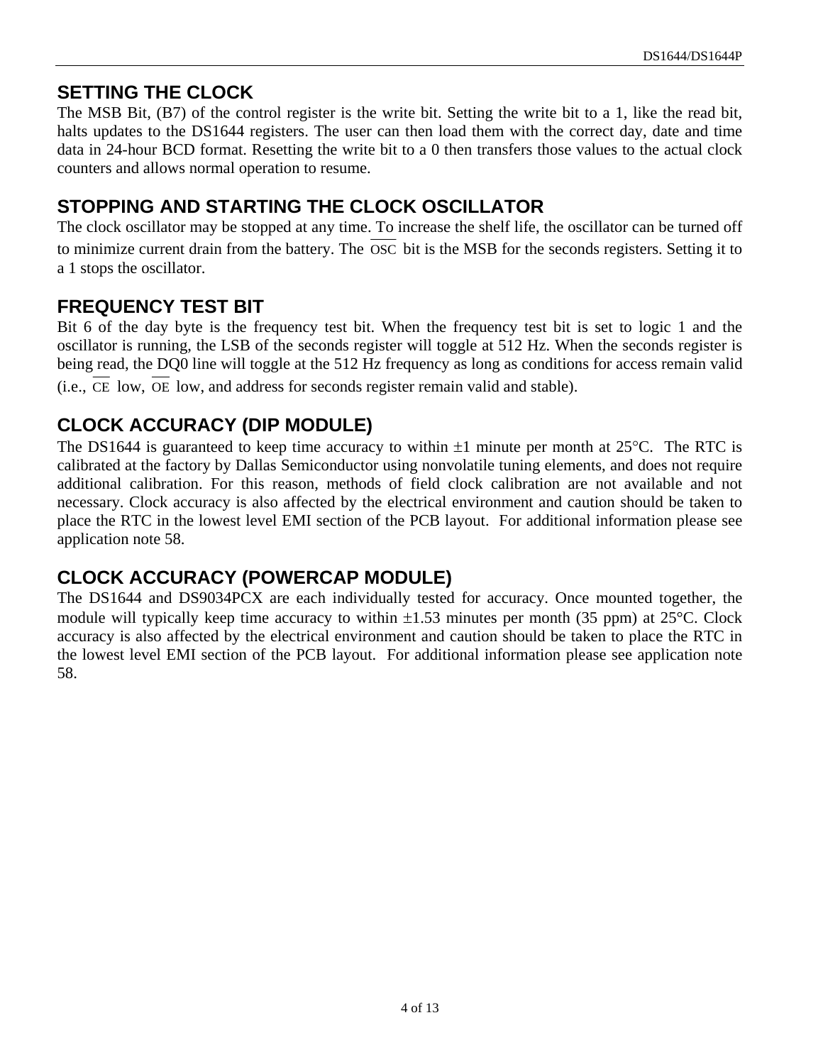#### **SETTING THE CLOCK**

The MSB Bit, (B7) of the control register is the write bit. Setting the write bit to a 1, like the read bit, halts updates to the DS1644 registers. The user can then load them with the correct day, date and time data in 24-hour BCD format. Resetting the write bit to a 0 then transfers those values to the actual clock counters and allows normal operation to resume.

# **STOPPING AND STARTING THE CLOCK OSCILLATOR**

The clock oscillator may be stopped at any time. To increase the shelf life, the oscillator can be turned off to minimize current drain from the battery. The OSC bit is the MSB for the seconds registers. Setting it to a 1 stops the oscillator.

#### **FREQUENCY TEST BIT**

Bit 6 of the day byte is the frequency test bit. When the frequency test bit is set to logic 1 and the oscillator is running, the LSB of the seconds register will toggle at 512 Hz. When the seconds register is being read, the DO0 line will toggle at the 512 Hz frequency as long as conditions for access remain valid

(i.e., CE low, OE low, and address for seconds register remain valid and stable).

# **CLOCK ACCURACY (DIP MODULE)**

The DS1644 is guaranteed to keep time accuracy to within  $\pm 1$  minute per month at 25 $\degree$ C. The RTC is calibrated at the factory by Dallas Semiconductor using nonvolatile tuning elements, and does not require additional calibration. For this reason, methods of field clock calibration are not available and not necessary. Clock accuracy is also affected by the electrical environment and caution should be taken to place the RTC in the lowest level EMI section of the PCB layout. For additional information please see application note 58.

# **CLOCK ACCURACY (POWERCAP MODULE)**

The DS1644 and DS9034PCX are each individually tested for accuracy. Once mounted together, the module will typically keep time accuracy to within  $\pm 1.53$  minutes per month (35 ppm) at 25<sup>o</sup>C. Clock accuracy is also affected by the electrical environment and caution should be taken to place the RTC in the lowest level EMI section of the PCB layout. For additional information please see application note 58.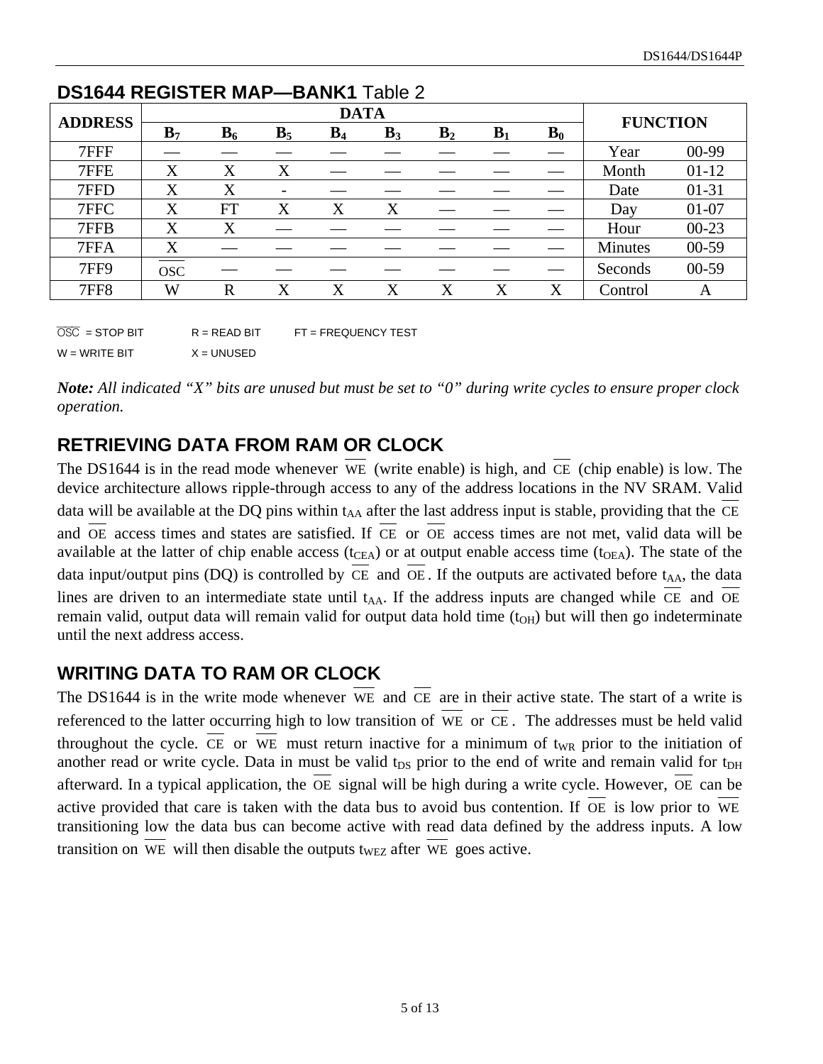| <b>DATA</b><br><b>ADDRESS</b> |                |           |                          |       |       | <b>FUNCTION</b> |       |                  |         |           |
|-------------------------------|----------------|-----------|--------------------------|-------|-------|-----------------|-------|------------------|---------|-----------|
|                               | B <sub>7</sub> | $B_6$     | B <sub>5</sub>           | $B_4$ | $B_3$ | B <sub>2</sub>  | $B_1$ | $\mathbf{B}_{0}$ |         |           |
| 7FFF                          |                |           |                          |       |       |                 |       |                  | Year    | $00-99$   |
| 7FFE                          | X              | X         | X                        |       |       |                 |       |                  | Month   | $01-12$   |
| 7FFD                          | $\rm X$        | X         | $\overline{\phantom{a}}$ |       |       |                 |       |                  | Date    | 01-31     |
| 7FFC                          | X              | <b>FT</b> | X                        | X     | X     |                 |       |                  | Day     | $01 - 07$ |
| 7FFB                          | X              | X         |                          |       |       |                 |       |                  | Hour    | $00 - 23$ |
| 7FFA                          | X              |           |                          |       |       |                 |       |                  | Minutes | $00 - 59$ |
| 7FF9                          | <b>OSC</b>     |           |                          |       |       |                 |       |                  | Seconds | $00-59$   |
| <b>7FF8</b>                   | W              | R         | X                        | X     | X     | X               | X     | X                | Control | A         |

#### **DS1644 REGISTER MAP—BANK1** Table 2

 $\overline{OSC}$  = STOP BIT R = READ BIT FT = FREQUENCY TEST  $W = WR$ ITE BIT  $X = UNUSED$ 

*Note: All indicated "X" bits are unused but must be set to "0" during write cycles to ensure proper clock operation.* 

# **RETRIEVING DATA FROM RAM OR CLOCK**

The DS1644 is in the read mode whenever WE (write enable) is high, and CE (chip enable) is low. The device architecture allows ripple-through access to any of the address locations in the NV SRAM. Valid data will be available at the DQ pins within  $t_{AA}$  after the last address input is stable, providing that the CE and OE access times and states are satisfied. If CE or OE access times are not met, valid data will be available at the latter of chip enable access ( $t_{CEA}$ ) or at output enable access time ( $t_{OEA}$ ). The state of the data input/output pins (DQ) is controlled by  $CE$  and  $OE$ . If the outputs are activated before  $t_{AA}$ , the data lines are driven to an intermediate state until  $t_{AA}$ . If the address inputs are changed while CE and OE remain valid, output data will remain valid for output data hold time  $(t<sub>OH</sub>)$  but will then go indeterminate until the next address access.

# **WRITING DATA TO RAM OR CLOCK**

The DS1644 is in the write mode whenever WE and CE are in their active state. The start of a write is referenced to the latter occurring high to low transition of WE or CE . The addresses must be held valid throughout the cycle. CE or WE must return inactive for a minimum of  $t_{WR}$  prior to the initiation of another read or write cycle. Data in must be valid t<sub>DS</sub> prior to the end of write and remain valid for t<sub>DH</sub> afterward. In a typical application, the OE signal will be high during a write cycle. However, OE can be active provided that care is taken with the data bus to avoid bus contention. If OE is low prior to WE transitioning low the data bus can become active with read data defined by the address inputs. A low transition on WE will then disable the outputs t<sub>WEZ</sub> after WE goes active.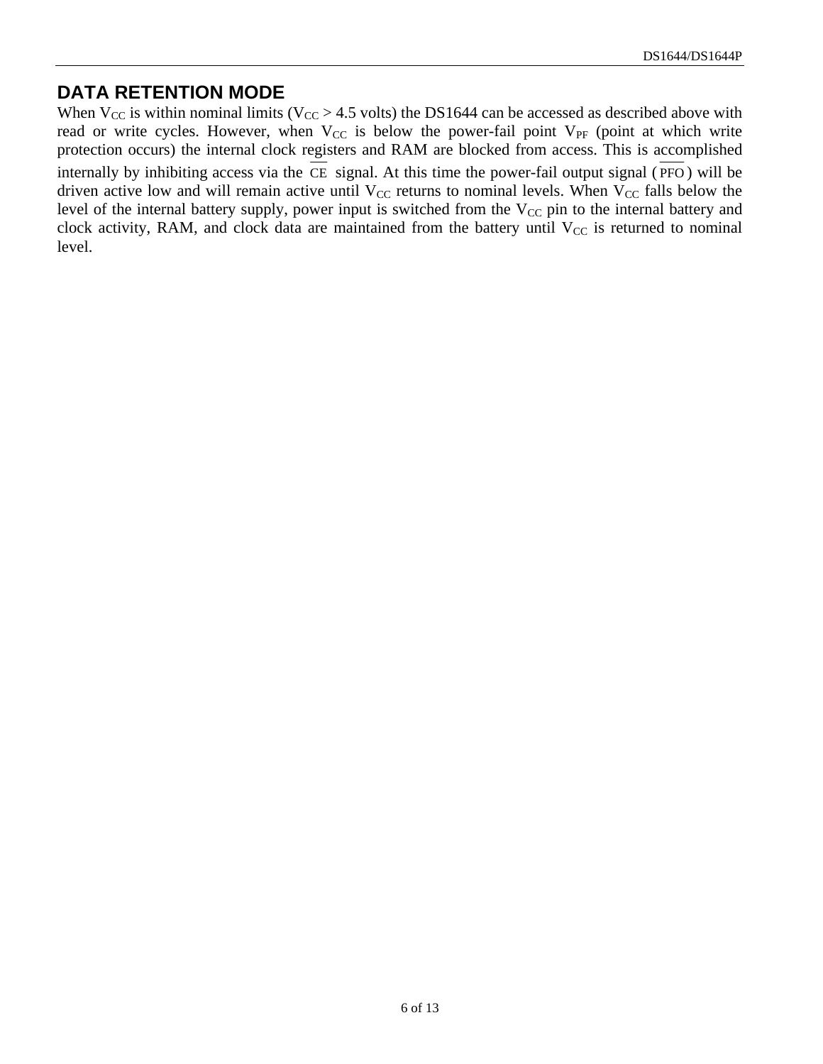#### **DATA RETENTION MODE**

When  $V_{CC}$  is within nominal limits ( $V_{CC} > 4.5$  volts) the DS1644 can be accessed as described above with read or write cycles. However, when  $V_{CC}$  is below the power-fail point  $V_{PF}$  (point at which write protection occurs) the internal clock registers and RAM are blocked from access. This is accomplished internally by inhibiting access via the  $\overline{CE}$  signal. At this time the power-fail output signal ( $\overline{PPO}$ ) will be driven active low and will remain active until  $V_{CC}$  returns to nominal levels. When  $V_{CC}$  falls below the level of the internal battery supply, power input is switched from the  $V_{CC}$  pin to the internal battery and clock activity, RAM, and clock data are maintained from the battery until  $V_{CC}$  is returned to nominal level.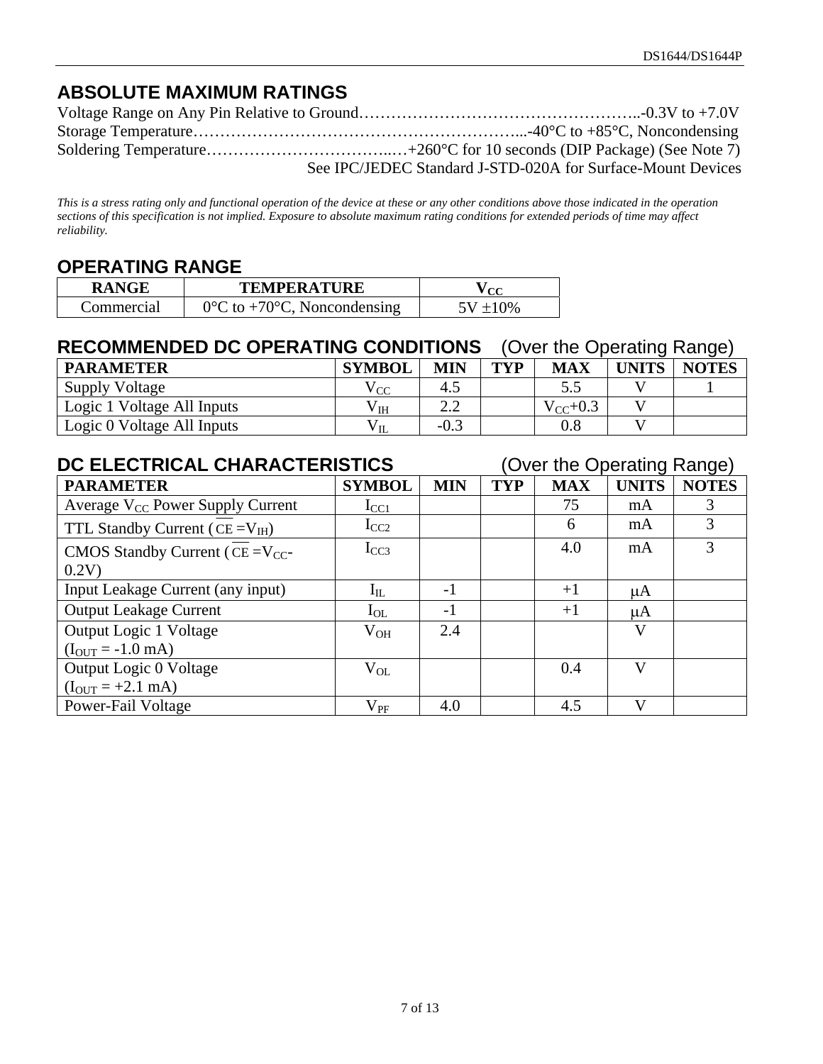# **ABSOLUTE MAXIMUM RATINGS**

| See IPC/JEDEC Standard J-STD-020A for Surface-Mount Devices |
|-------------------------------------------------------------|

*This is a stress rating only and functional operation of the device at these or any other conditions above those indicated in the operation sections of this specification is not implied. Exposure to absolute maximum rating conditions for extended periods of time may affect reliability.* 

#### **OPERATING RANGE**

| <b>RANGE</b> | <b>TEMPERATURE</b>                               | $\alpha$    |
|--------------|--------------------------------------------------|-------------|
| Commercial   | $0^{\circ}$ C to +70 $^{\circ}$ C, Noncondensing | $5V + 10\%$ |

# **RECOMMENDED DC OPERATING CONDITIONS** (Over the Operating Range)

| <b>PARAMETER</b>           | <b>SYMBOL</b> | <b>MIN</b>      | TVP | <b>MAX</b>    | <b>UNITS</b> | . .<br><b>NOTES</b> |
|----------------------------|---------------|-----------------|-----|---------------|--------------|---------------------|
| <b>Supply Voltage</b>      | V CC          | 4.5             |     | ر. ر          |              |                     |
| Logic 1 Voltage All Inputs | V TH          | $\Omega$<br>2.Z |     | $V_{CC}$ +0.3 |              |                     |
| Logic 0 Voltage All Inputs | $V_{IL}$      | $-0.3$          |     | $\rm 0.8$     |              |                     |

| DC ELECTRICAL CHARACTERISTICS                |               |            |            | (Over the Operating Range) |              |              |
|----------------------------------------------|---------------|------------|------------|----------------------------|--------------|--------------|
| <b>PARAMETER</b>                             | <b>SYMBOL</b> | <b>MIN</b> | <b>TYP</b> | <b>MAX</b>                 | <b>UNITS</b> | <b>NOTES</b> |
| Average V <sub>CC</sub> Power Supply Current | $I_{CC1}$     |            |            | 75                         | mA           | 3            |
| TTL Standby Current ( $CE = V_{IH}$ )        | $I_{CC2}$     |            |            | 6                          | mA           | 3            |
| CMOS Standby Current ( $CE = V_{CC}$ -       | $I_{CC3}$     |            |            | 4.0                        | mA           | 3            |
| 0.2V                                         |               |            |            |                            |              |              |
| Input Leakage Current (any input)            | $\rm I_{IL}$  | $-1$       |            | $+1$                       | μA           |              |
| <b>Output Leakage Current</b>                | $I_{OL}$      | $-1$       |            | $+1$                       | $\mu A$      |              |
| Output Logic 1 Voltage                       | $\rm V_{OH}$  | 2.4        |            |                            | V            |              |
| $(I_{OUT} = -1.0$ mA)                        |               |            |            |                            |              |              |
| Output Logic 0 Voltage                       | $V_{OL}$      |            |            | 0.4                        | V            |              |
| $(I_{OUT} = +2.1$ mA)                        |               |            |            |                            |              |              |
| Power-Fail Voltage                           | $\rm V_{PF}$  | 4.0        |            | 4.5                        | $\mathbf{V}$ |              |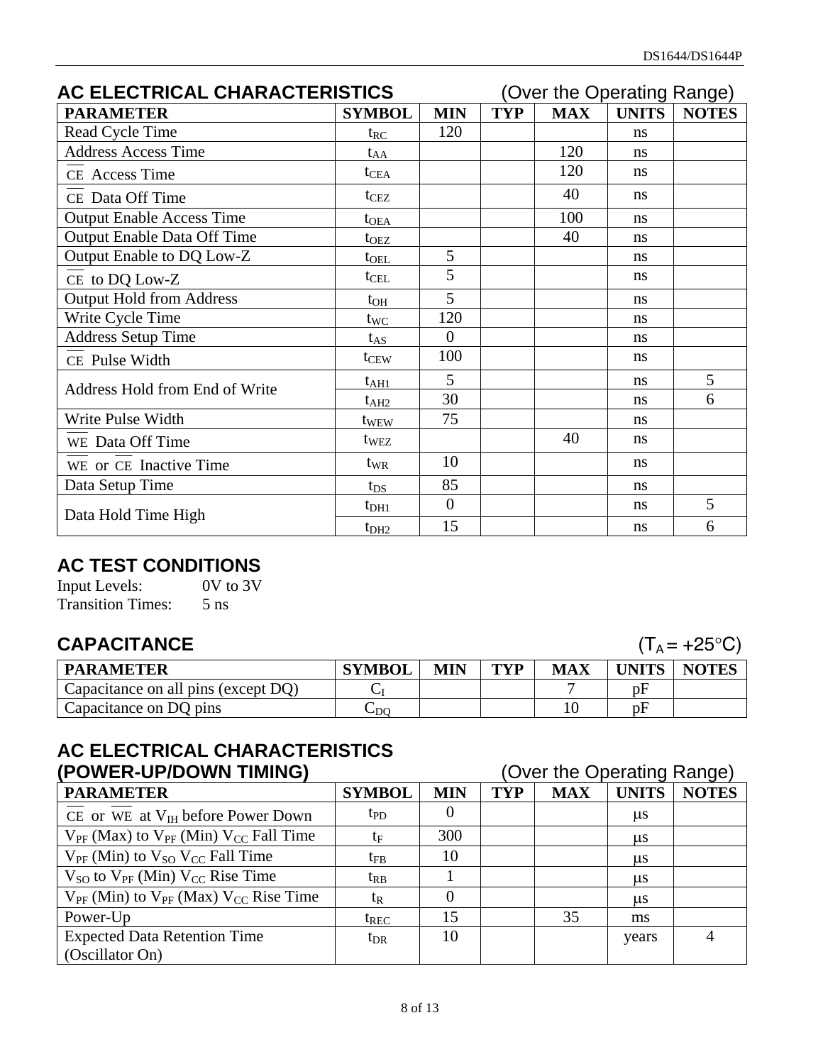| AC ELECTRICAL CHARACTERISTICS      |                  |                                          | (Over the Operating Range) |            |               |              |
|------------------------------------|------------------|------------------------------------------|----------------------------|------------|---------------|--------------|
| <b>PARAMETER</b>                   | <b>SYMBOL</b>    | <b>MIN</b>                               | <b>TYP</b>                 | <b>MAX</b> | <b>UNITS</b>  | <b>NOTES</b> |
| Read Cycle Time                    | $t_{RC}$         | 120                                      |                            |            | ns            |              |
| <b>Address Access Time</b>         | $t_{AA}$         |                                          |                            | 120        | ns            |              |
| CE Access Time                     | $t_{\text{CEA}}$ |                                          |                            | 120        | ns            |              |
| CE Data Off Time                   | t <sub>CEZ</sub> |                                          |                            | 40         | ns            |              |
| <b>Output Enable Access Time</b>   | $t_{OEA}$        |                                          |                            | 100        | ns            |              |
| <b>Output Enable Data Off Time</b> | $t_{OEZ}$        |                                          |                            | 40         | ns            |              |
| Output Enable to DQ Low-Z          | $t_{\rm OEL}$    | 5                                        |                            |            | ns            |              |
| CE to DQ Low-Z                     | $t_{\text{CEL}}$ | 5                                        |                            |            | ns            |              |
| <b>Output Hold from Address</b>    | $t_{OH}$         | 5                                        |                            |            | ns            |              |
| Write Cycle Time                   | twc              | 120                                      |                            |            | ns            |              |
| <b>Address Setup Time</b>          | $t_{AS}$         | $\overline{0}$                           |                            |            | ns            |              |
| CE Pulse Width                     | t <sub>CEW</sub> | 100                                      |                            |            | <sub>ns</sub> |              |
| Address Hold from End of Write     | $t_{\rm AH1}$    | 5                                        |                            |            | ns            | 5            |
|                                    | $t_{\rm AH2}$    | 30<br>ns<br>75<br>ns<br>t <sub>WEW</sub> |                            | 6          |               |              |
| Write Pulse Width                  |                  |                                          |                            |            |               |              |
| WE Data Off Time                   | t <sub>WEZ</sub> |                                          |                            | 40         | <sub>ns</sub> |              |
| WE or CE Inactive Time             | $t_{WR}$         | 10                                       |                            |            | ns            |              |
| Data Setup Time                    | $t_{DS}$         | 85                                       |                            |            | ns            |              |
| Data Hold Time High                | $t_{DH1}$        | $\overline{0}$                           |                            |            | ns            | 5            |
|                                    | t <sub>DH2</sub> | 15                                       |                            |            | ns            | 6            |

# **AC TEST CONDITIONS**<br> **Input Levels:** 0V to 3V

Input Levels: Transition Times: 5 ns

# **CAPACITANCE**  $(T_A = +25^{\circ}C)$

| <b>PARAMETER</b>                    | <b>SYMBOL</b>      | <b>MIN</b> | <b>TYP</b> | <b>MAX</b> | UNITS | <b>NOTES</b> |
|-------------------------------------|--------------------|------------|------------|------------|-------|--------------|
| Capacitance on all pins (except DQ) |                    |            |            |            | рF    |              |
| Capacitance on DQ pins              | $\mathsf{\cup DO}$ |            |            |            | pF    |              |

#### **AC ELECTRICAL CHARACTERISTICS (POWER-UP/DOWN TIMING)** (Over the Operating Range)

| (FUWER"UF/LUWIN HIVIINU)                            | Over the Operating Nange) |            |            |            |              |              |
|-----------------------------------------------------|---------------------------|------------|------------|------------|--------------|--------------|
| <b>PARAMETER</b>                                    | <b>SYMBOL</b>             | <b>MIN</b> | <b>TYP</b> | <b>MAX</b> | <b>UNITS</b> | <b>NOTES</b> |
| CE or WE at $V_{IH}$ before Power Down              | tp <sub>D</sub>           | $_{0}$     |            |            | $\mu$ s      |              |
| $V_{PF}$ (Max) to $V_{PF}$ (Min) $V_{CC}$ Fall Time | $t_{\rm F}$               | 300        |            |            | $\mu$ s      |              |
| $V_{PF}$ (Min) to $V_{SO}$ $V_{CC}$ Fall Time       | $\mathrm{t_{FB}}$         | 10         |            |            | $\mu$ s      |              |
| $V_{SO}$ to $V_{PF}$ (Min) $V_{CC}$ Rise Time       | $t_{RB}$                  |            |            |            | $\mu$ s      |              |
| $V_{PF}$ (Min) to $V_{PF}$ (Max) $V_{CC}$ Rise Time | $t_{R}$                   | 0          |            |            | $\mu$ s      |              |
| Power-Up                                            | $t_{REC}$                 | 15         |            | 35         | ms           |              |
| <b>Expected Data Retention Time</b>                 | $t_{\rm DR}$              | 10         |            |            | years        | 4            |
| (Oscillator On)                                     |                           |            |            |            |              |              |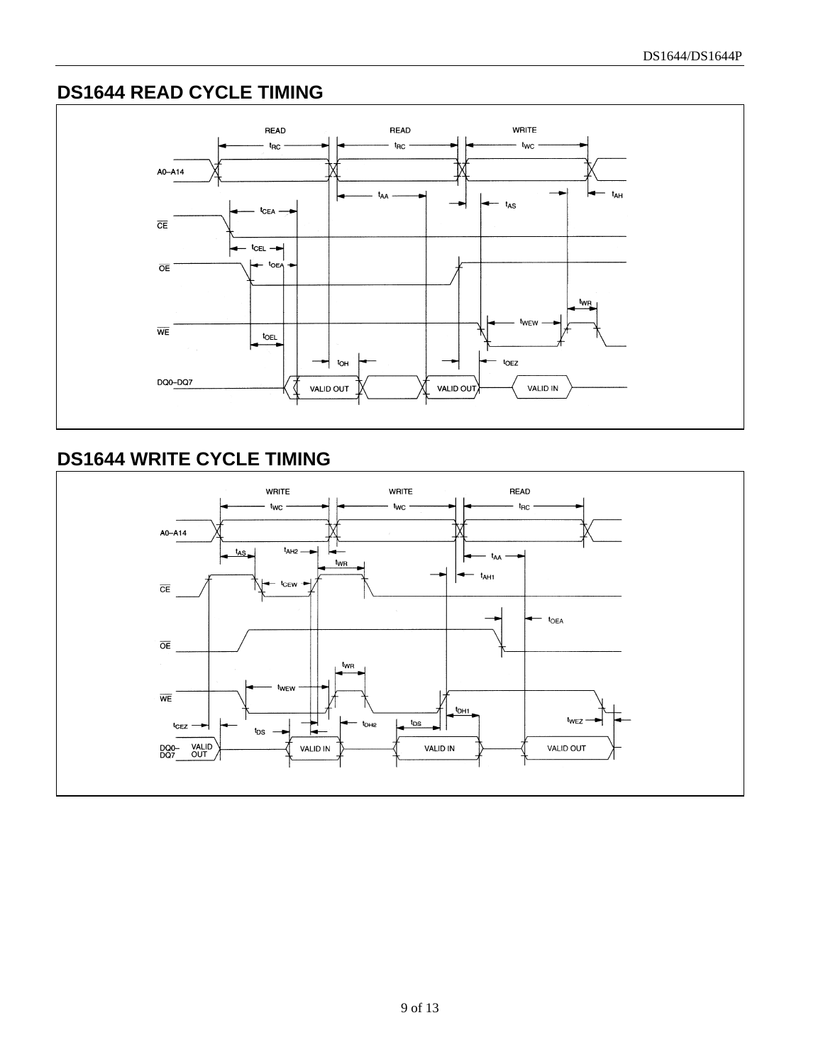# **DS1644 READ CYCLE TIMING**



# **DS1644 WRITE CYCLE TIMING**

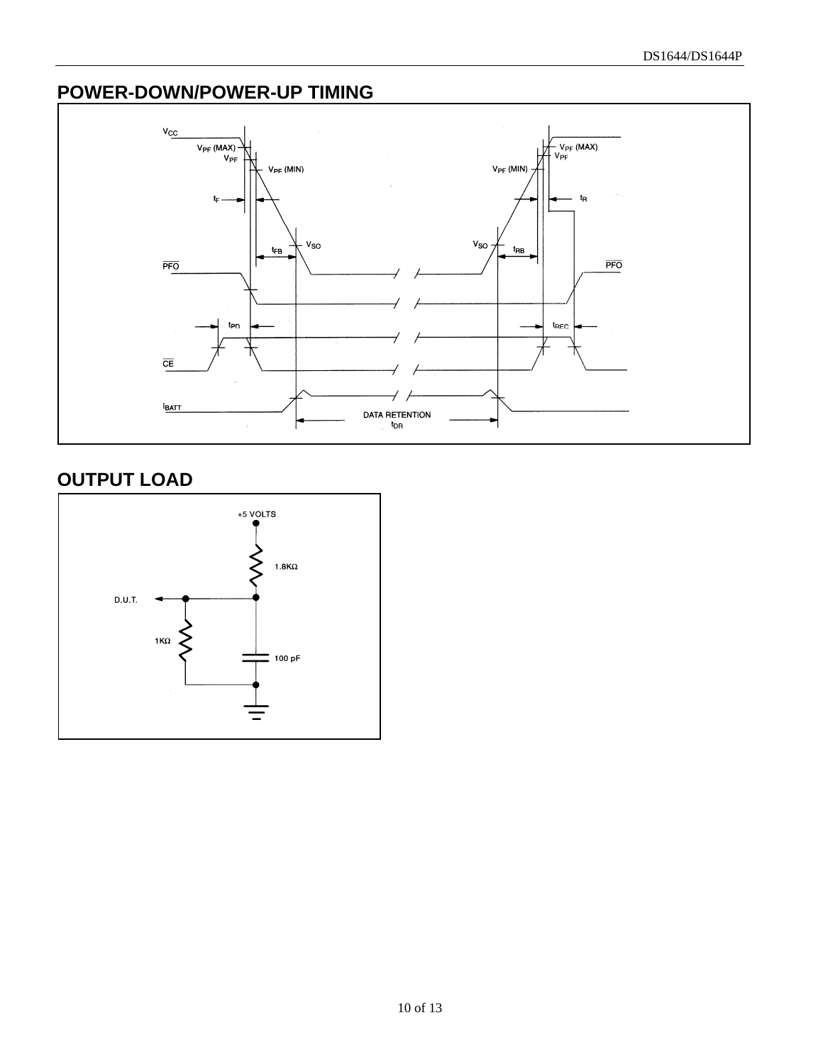# **POWER-DOWN/POWER-UP TIMING**



# **OUTPUT LOAD**

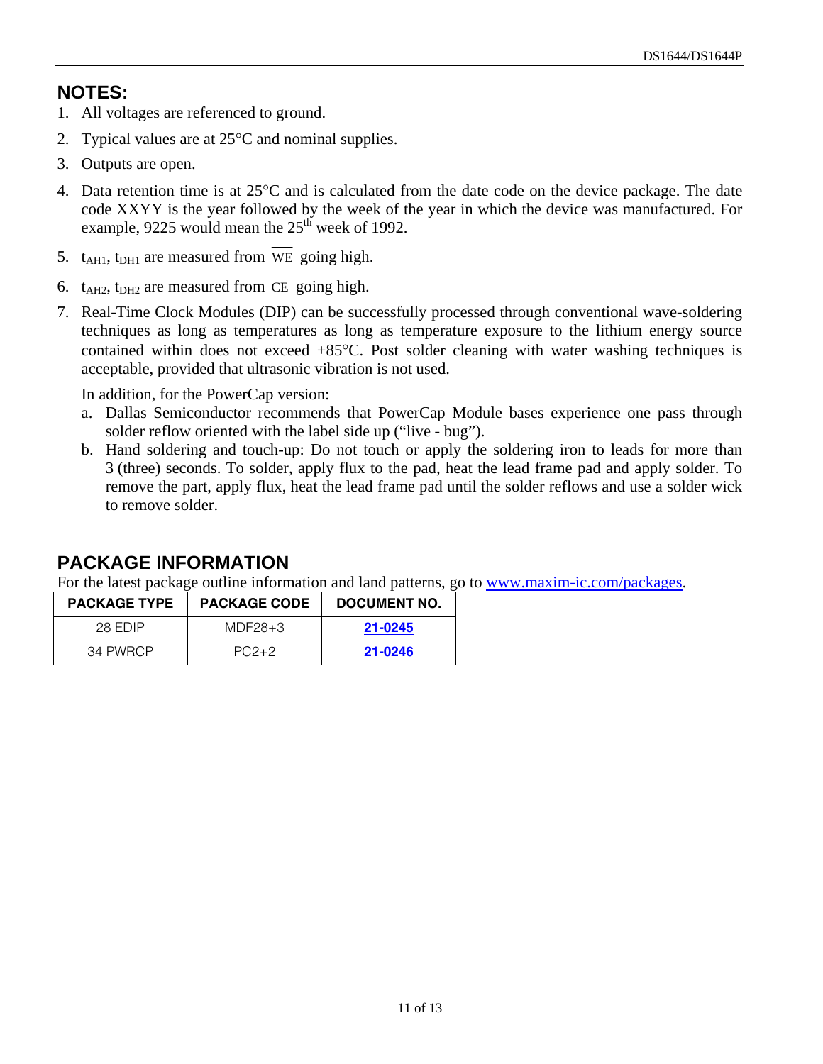# **NOTES:**

- 1. All voltages are referenced to ground.
- 2. Typical values are at  $25^{\circ}$ C and nominal supplies.
- 3. Outputs are open.
- 4. Data retention time is at  $25^{\circ}$ C and is calculated from the date code on the device package. The date code XXYY is the year followed by the week of the year in which the device was manufactured. For example, 9225 would mean the  $25<sup>th</sup>$  week of 1992.
- 5.  $t_{\text{AHI}}$ ,  $t_{\text{DHI}}$  are measured from WE going high.
- 6.  $t_{\text{A}H2}$ ,  $t_{\text{DH}2}$  are measured from CE going high.
- 7. Real-Time Clock Modules (DIP) can be successfully processed through conventional wave-soldering techniques as long as temperatures as long as temperature exposure to the lithium energy source contained within does not exceed  $+85^{\circ}$ C. Post solder cleaning with water washing techniques is acceptable, provided that ultrasonic vibration is not used.

In addition, for the PowerCap version:

- a. Dallas Semiconductor recommends that PowerCap Module bases experience one pass through solder reflow oriented with the label side up ("live - bug").
- b. Hand soldering and touch-up: Do not touch or apply the soldering iron to leads for more than 3 (three) seconds. To solder, apply flux to the pad, heat the lead frame pad and apply solder. To remove the part, apply flux, heat the lead frame pad until the solder reflows and use a solder wick to remove solder.

# **PACKAGE INFORMATION**

For the latest package outline information and land patterns, go to [www.maxim-ic.com/packages.](http://www.maxim-ic.com/packages)

| <b>PACKAGE TYPE</b> | <b>PACKAGE CODE</b> | DOCUMENT NO. |
|---------------------|---------------------|--------------|
| 28 FDIP             | $MDF28+3$           | 21-0245      |
| 34 PWRCP            | $PC2+2$             | 21-0246      |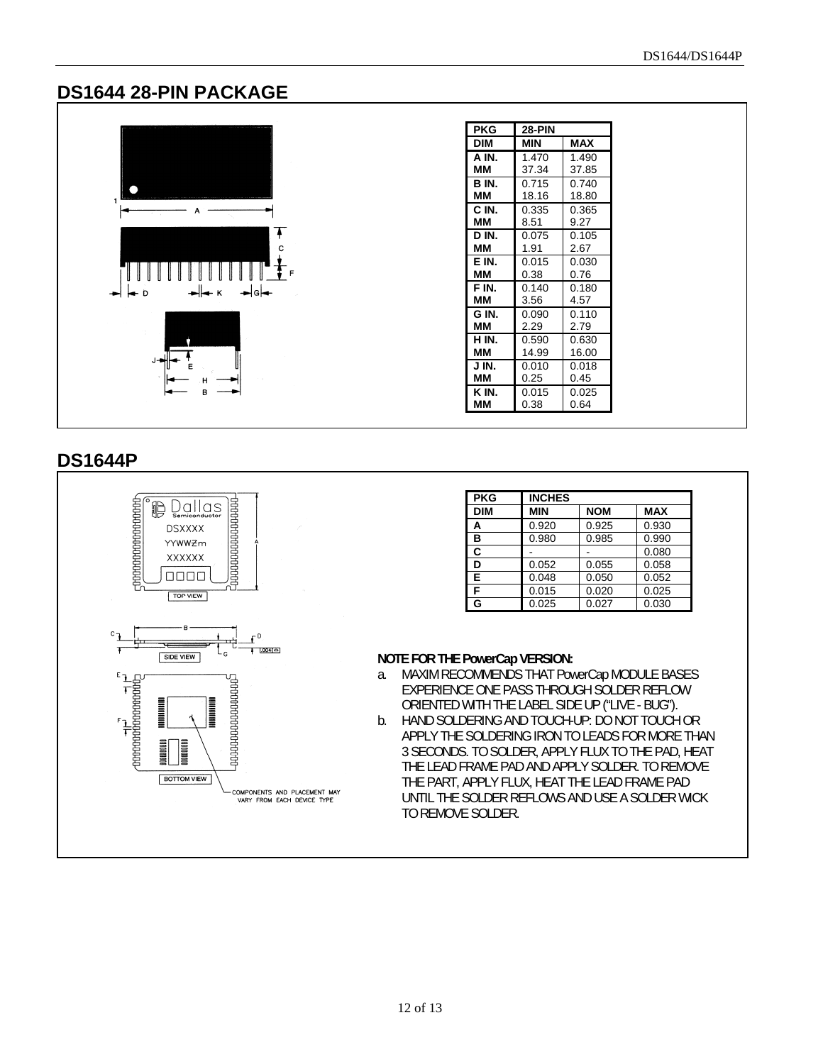#### **DS1644 28-PIN PACKAGE**



| <b>PKG</b> | <b>28-PIN</b> |            |
|------------|---------------|------------|
| DIM        | MIN           | <b>MAX</b> |
| A IN.      | 1.470         | 1.490      |
| ΜМ         | 37.34         | 37.85      |
| B IN.      | 0.715         | 0.740      |
| ΜМ         | 18.16         | 18.80      |
| C IN.      | 0.335         | 0.365      |
| MМ         | 8.51          | 9.27       |
| D IN.      | 0.075         | 0.105      |
| ΜМ         | 1.91          | 2.67       |
| E IN.      | 0.015         | 0.030      |
| ΜМ         | 0.38          | 0.76       |
| F IN.      | 0.140         | 0.180      |
| ΜМ         | 3.56          | 4.57       |
| G IN.      | 0.090         | 0.110      |
| ΜМ         | 2.29          | 2.79       |
| H IN.      | 0.590         | 0.630      |
| ΜМ         | 14.99         | 16.00      |
| J IN.      | 0.010         | 0.018      |
| MМ         | 0.25          | 0.45       |
| K IN.      | 0.015         | 0.025      |
| мм         | 0.38          | 0.64       |

#### **DS1644P**